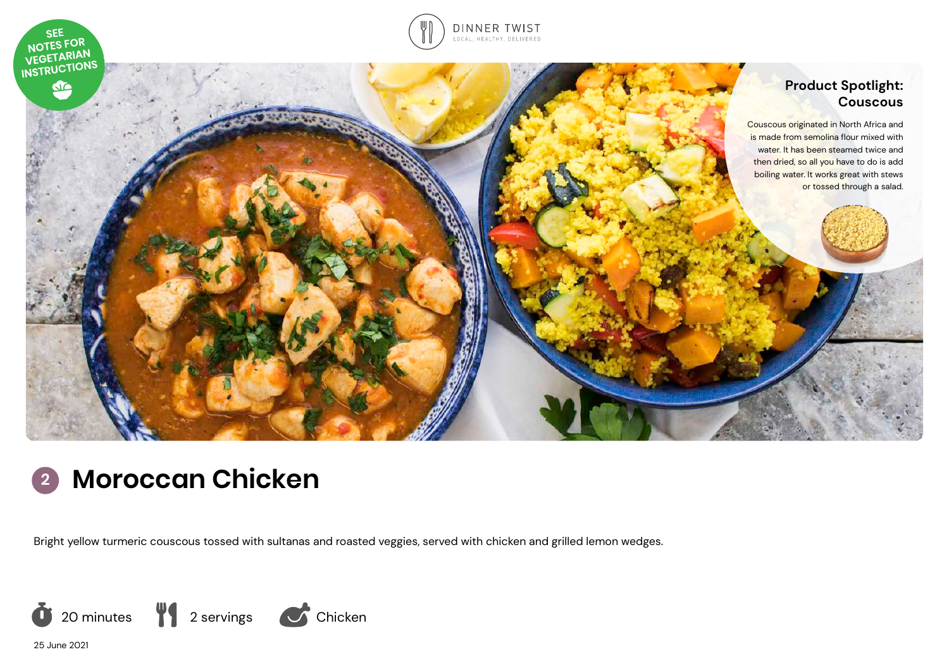





# **<sup>2</sup> Moroccan Chicken**

Bright yellow turmeric couscous tossed with sultanas and roasted veggies, served with chicken and grilled lemon wedges.



25 June 2021